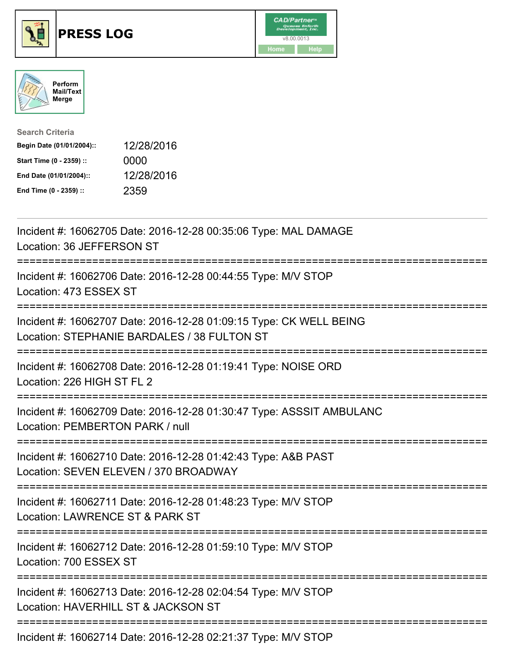





| <b>Search Criteria</b>    |            |
|---------------------------|------------|
| Begin Date (01/01/2004):: | 12/28/2016 |
| Start Time (0 - 2359) ::  | 0000       |
| End Date (01/01/2004)::   | 12/28/2016 |
| End Time (0 - 2359) ::    | 2359       |

| Incident #: 16062705 Date: 2016-12-28 00:35:06 Type: MAL DAMAGE<br>Location: 36 JEFFERSON ST                                                  |
|-----------------------------------------------------------------------------------------------------------------------------------------------|
| Incident #: 16062706 Date: 2016-12-28 00:44:55 Type: M/V STOP<br>Location: 473 ESSEX ST<br>--------------                                     |
| Incident #: 16062707 Date: 2016-12-28 01:09:15 Type: CK WELL BEING<br>Location: STEPHANIE BARDALES / 38 FULTON ST<br>:=====================   |
| Incident #: 16062708 Date: 2016-12-28 01:19:41 Type: NOISE ORD<br>Location: 226 HIGH ST FL 2<br>===============                               |
| Incident #: 16062709 Date: 2016-12-28 01:30:47 Type: ASSSIT AMBULANC<br>Location: PEMBERTON PARK / null<br>===============                    |
| Incident #: 16062710 Date: 2016-12-28 01:42:43 Type: A&B PAST<br>Location: SEVEN ELEVEN / 370 BROADWAY<br>==============================      |
| Incident #: 16062711 Date: 2016-12-28 01:48:23 Type: M/V STOP<br>Location: LAWRENCE ST & PARK ST                                              |
| Incident #: 16062712 Date: 2016-12-28 01:59:10 Type: M/V STOP<br>Location: 700 ESSEX ST                                                       |
| =====================================<br>Incident #: 16062713 Date: 2016-12-28 02:04:54 Type: M/V STOP<br>Location: HAVERHILL ST & JACKSON ST |
| Incident #: 16062714 Date: 2016-12-28 02:21:37 Type: M/V STOP                                                                                 |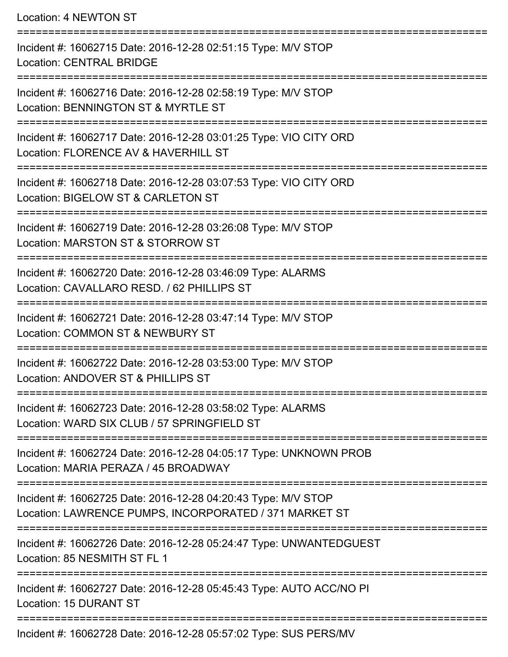Location: 4 NEWTON ST =========================================================================== Incident #: 16062715 Date: 2016-12-28 02:51:15 Type: M/V STOP Location: CENTRAL BRIDGE =========================================================================== Incident #: 16062716 Date: 2016-12-28 02:58:19 Type: M/V STOP Location: BENNINGTON ST & MYRTLE ST =========================================================================== Incident #: 16062717 Date: 2016-12-28 03:01:25 Type: VIO CITY ORD Location: FLORENCE AV & HAVERHILL ST =========================================================================== Incident #: 16062718 Date: 2016-12-28 03:07:53 Type: VIO CITY ORD Location: BIGELOW ST & CARLETON ST =========================================================================== Incident #: 16062719 Date: 2016-12-28 03:26:08 Type: M/V STOP Location: MARSTON ST & STORROW ST =========================================================================== Incident #: 16062720 Date: 2016-12-28 03:46:09 Type: ALARMS Location: CAVALLARO RESD. / 62 PHILLIPS ST =========================================================================== Incident #: 16062721 Date: 2016-12-28 03:47:14 Type: M/V STOP Location: COMMON ST & NEWBURY ST =========================================================================== Incident #: 16062722 Date: 2016-12-28 03:53:00 Type: M/V STOP Location: ANDOVER ST & PHILLIPS ST =========================================================================== Incident #: 16062723 Date: 2016-12-28 03:58:02 Type: ALARMS Location: WARD SIX CLUB / 57 SPRINGFIELD ST =========================================================================== Incident #: 16062724 Date: 2016-12-28 04:05:17 Type: UNKNOWN PROB Location: MARIA PERAZA / 45 BROADWAY =========================================================================== Incident #: 16062725 Date: 2016-12-28 04:20:43 Type: M/V STOP Location: LAWRENCE PUMPS, INCORPORATED / 371 MARKET ST =========================================================================== Incident #: 16062726 Date: 2016-12-28 05:24:47 Type: UNWANTEDGUEST Location: 85 NESMITH ST FL 1 =========================================================================== Incident #: 16062727 Date: 2016-12-28 05:45:43 Type: AUTO ACC/NO PI Location: 15 DURANT ST ===========================================================================

Incident #: 16062728 Date: 2016-12-28 05:57:02 Type: SUS PERS/MV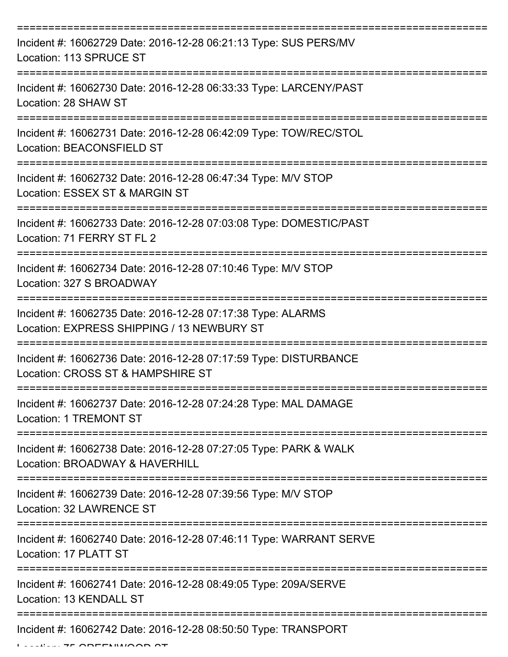| Incident #: 16062729 Date: 2016-12-28 06:21:13 Type: SUS PERS/MV<br>Location: 113 SPRUCE ST               |
|-----------------------------------------------------------------------------------------------------------|
| Incident #: 16062730 Date: 2016-12-28 06:33:33 Type: LARCENY/PAST<br>Location: 28 SHAW ST                 |
| Incident #: 16062731 Date: 2016-12-28 06:42:09 Type: TOW/REC/STOL<br>Location: BEACONSFIELD ST            |
| Incident #: 16062732 Date: 2016-12-28 06:47:34 Type: M/V STOP<br>Location: ESSEX ST & MARGIN ST           |
| Incident #: 16062733 Date: 2016-12-28 07:03:08 Type: DOMESTIC/PAST<br>Location: 71 FERRY ST FL 2          |
| Incident #: 16062734 Date: 2016-12-28 07:10:46 Type: M/V STOP<br>Location: 327 S BROADWAY                 |
| Incident #: 16062735 Date: 2016-12-28 07:17:38 Type: ALARMS<br>Location: EXPRESS SHIPPING / 13 NEWBURY ST |
| Incident #: 16062736 Date: 2016-12-28 07:17:59 Type: DISTURBANCE<br>Location: CROSS ST & HAMPSHIRE ST     |
| Incident #: 16062737 Date: 2016-12-28 07:24:28 Type: MAL DAMAGE<br><b>Location: 1 TREMONT ST</b>          |
| Incident #: 16062738 Date: 2016-12-28 07:27:05 Type: PARK & WALK<br>Location: BROADWAY & HAVERHILL        |
| Incident #: 16062739 Date: 2016-12-28 07:39:56 Type: M/V STOP<br>Location: 32 LAWRENCE ST                 |
| Incident #: 16062740 Date: 2016-12-28 07:46:11 Type: WARRANT SERVE<br>Location: 17 PLATT ST               |
| Incident #: 16062741 Date: 2016-12-28 08:49:05 Type: 209A/SERVE<br>Location: 13 KENDALL ST                |
| Incident #: 16062742 Date: 2016-12-28 08:50:50 Type: TRANSPORT                                            |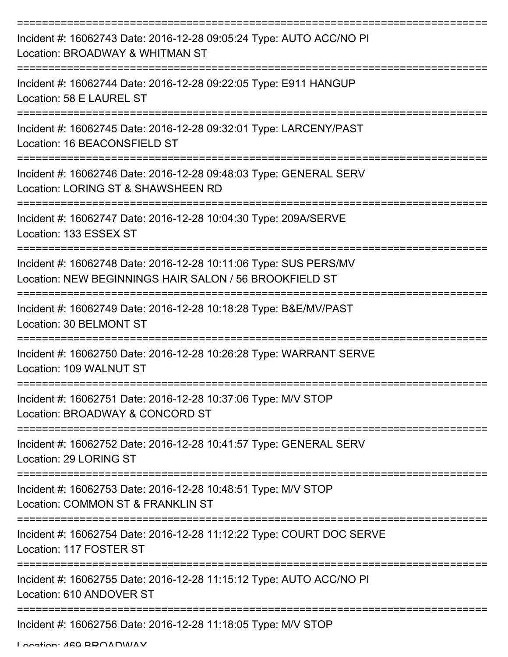| Incident #: 16062743 Date: 2016-12-28 09:05:24 Type: AUTO ACC/NO PI<br>Location: BROADWAY & WHITMAN ST                                                        |
|---------------------------------------------------------------------------------------------------------------------------------------------------------------|
| Incident #: 16062744 Date: 2016-12-28 09:22:05 Type: E911 HANGUP<br>Location: 58 E LAUREL ST                                                                  |
| Incident #: 16062745 Date: 2016-12-28 09:32:01 Type: LARCENY/PAST<br>Location: 16 BEACONSFIELD ST                                                             |
| Incident #: 16062746 Date: 2016-12-28 09:48:03 Type: GENERAL SERV<br>Location: LORING ST & SHAWSHEEN RD                                                       |
| Incident #: 16062747 Date: 2016-12-28 10:04:30 Type: 209A/SERVE<br>Location: 133 ESSEX ST                                                                     |
| :==============================<br>Incident #: 16062748 Date: 2016-12-28 10:11:06 Type: SUS PERS/MV<br>Location: NEW BEGINNINGS HAIR SALON / 56 BROOKFIELD ST |
| Incident #: 16062749 Date: 2016-12-28 10:18:28 Type: B&E/MV/PAST<br>Location: 30 BELMONT ST                                                                   |
| Incident #: 16062750 Date: 2016-12-28 10:26:28 Type: WARRANT SERVE<br>Location: 109 WALNUT ST                                                                 |
| Incident #: 16062751 Date: 2016-12-28 10:37:06 Type: M/V STOP<br>Location: BROADWAY & CONCORD ST                                                              |
| Incident #: 16062752 Date: 2016-12-28 10:41:57 Type: GENERAL SERV<br>Location: 29 LORING ST                                                                   |
| Incident #: 16062753 Date: 2016-12-28 10:48:51 Type: M/V STOP<br>Location: COMMON ST & FRANKLIN ST                                                            |
| Incident #: 16062754 Date: 2016-12-28 11:12:22 Type: COURT DOC SERVE<br>Location: 117 FOSTER ST                                                               |
| Incident #: 16062755 Date: 2016-12-28 11:15:12 Type: AUTO ACC/NO PI<br>Location: 610 ANDOVER ST                                                               |
| Incident #: 16062756 Date: 2016-12-28 11:18:05 Type: M/V STOP                                                                                                 |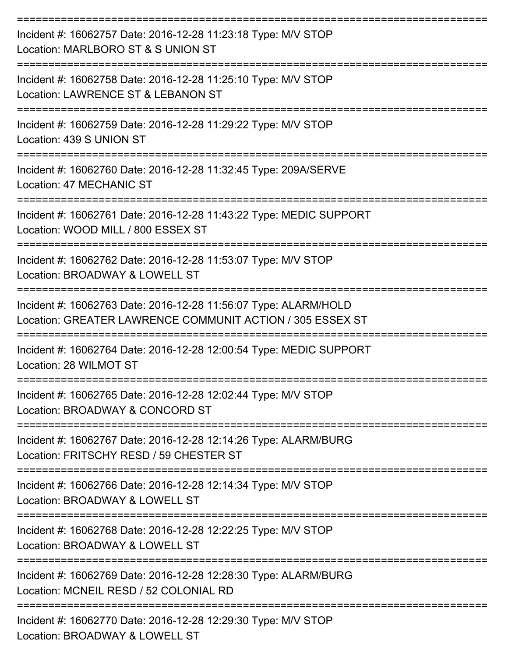| Incident #: 16062757 Date: 2016-12-28 11:23:18 Type: M/V STOP<br>Location: MARLBORO ST & S UNION ST                          |
|------------------------------------------------------------------------------------------------------------------------------|
| Incident #: 16062758 Date: 2016-12-28 11:25:10 Type: M/V STOP<br>Location: LAWRENCE ST & LEBANON ST                          |
| Incident #: 16062759 Date: 2016-12-28 11:29:22 Type: M/V STOP<br>Location: 439 S UNION ST                                    |
| Incident #: 16062760 Date: 2016-12-28 11:32:45 Type: 209A/SERVE<br>Location: 47 MECHANIC ST                                  |
| Incident #: 16062761 Date: 2016-12-28 11:43:22 Type: MEDIC SUPPORT<br>Location: WOOD MILL / 800 ESSEX ST                     |
| Incident #: 16062762 Date: 2016-12-28 11:53:07 Type: M/V STOP<br>Location: BROADWAY & LOWELL ST                              |
| Incident #: 16062763 Date: 2016-12-28 11:56:07 Type: ALARM/HOLD<br>Location: GREATER LAWRENCE COMMUNIT ACTION / 305 ESSEX ST |
| Incident #: 16062764 Date: 2016-12-28 12:00:54 Type: MEDIC SUPPORT<br>Location: 28 WILMOT ST                                 |
| Incident #: 16062765 Date: 2016-12-28 12:02:44 Type: M/V STOP<br>Location: BROADWAY & CONCORD ST                             |
| Incident #: 16062767 Date: 2016-12-28 12:14:26 Type: ALARM/BURG<br>Location: FRITSCHY RESD / 59 CHESTER ST                   |
| Incident #: 16062766 Date: 2016-12-28 12:14:34 Type: M/V STOP<br>Location: BROADWAY & LOWELL ST                              |
| Incident #: 16062768 Date: 2016-12-28 12:22:25 Type: M/V STOP<br>Location: BROADWAY & LOWELL ST                              |
| Incident #: 16062769 Date: 2016-12-28 12:28:30 Type: ALARM/BURG<br>Location: MCNEIL RESD / 52 COLONIAL RD                    |
| Incident #: 16062770 Date: 2016-12-28 12:29:30 Type: M/V STOP                                                                |

Location: BROADWAY & LOWELL ST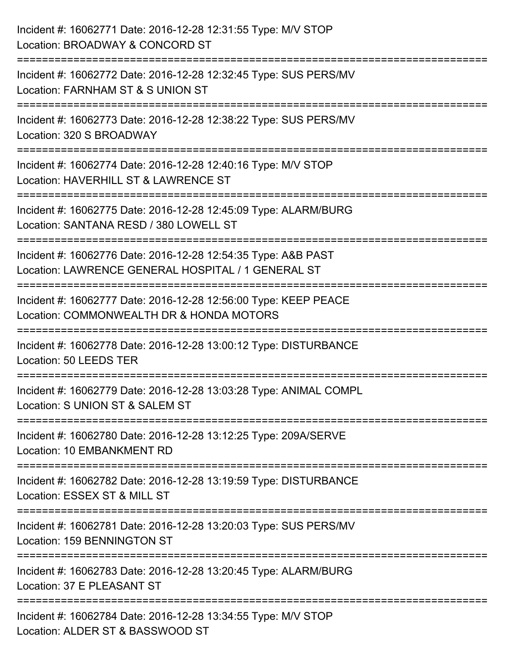| Incident #: 16062771 Date: 2016-12-28 12:31:55 Type: M/V STOP<br>Location: BROADWAY & CONCORD ST                                                |
|-------------------------------------------------------------------------------------------------------------------------------------------------|
| :==========================<br>Incident #: 16062772 Date: 2016-12-28 12:32:45 Type: SUS PERS/MV<br>Location: FARNHAM ST & S UNION ST            |
| Incident #: 16062773 Date: 2016-12-28 12:38:22 Type: SUS PERS/MV<br>Location: 320 S BROADWAY                                                    |
| Incident #: 16062774 Date: 2016-12-28 12:40:16 Type: M/V STOP<br>Location: HAVERHILL ST & LAWRENCE ST                                           |
| Incident #: 16062775 Date: 2016-12-28 12:45:09 Type: ALARM/BURG<br>Location: SANTANA RESD / 380 LOWELL ST<br>================================== |
| Incident #: 16062776 Date: 2016-12-28 12:54:35 Type: A&B PAST<br>Location: LAWRENCE GENERAL HOSPITAL / 1 GENERAL ST                             |
| Incident #: 16062777 Date: 2016-12-28 12:56:00 Type: KEEP PEACE<br>Location: COMMONWEALTH DR & HONDA MOTORS<br>=======================          |
| Incident #: 16062778 Date: 2016-12-28 13:00:12 Type: DISTURBANCE<br>Location: 50 LEEDS TER                                                      |
| Incident #: 16062779 Date: 2016-12-28 13:03:28 Type: ANIMAL COMPL<br>Location: S UNION ST & SALEM ST                                            |
| Incident #: 16062780 Date: 2016-12-28 13:12:25 Type: 209A/SERVE<br>Location: 10 EMBANKMENT RD                                                   |
| Incident #: 16062782 Date: 2016-12-28 13:19:59 Type: DISTURBANCE<br>Location: ESSEX ST & MILL ST                                                |
| Incident #: 16062781 Date: 2016-12-28 13:20:03 Type: SUS PERS/MV<br>Location: 159 BENNINGTON ST                                                 |
| Incident #: 16062783 Date: 2016-12-28 13:20:45 Type: ALARM/BURG<br>Location: 37 E PLEASANT ST                                                   |
| Incident #: 16062784 Date: 2016-12-28 13:34:55 Type: M/V STOP<br>Location: ALDER ST & BASSWOOD ST                                               |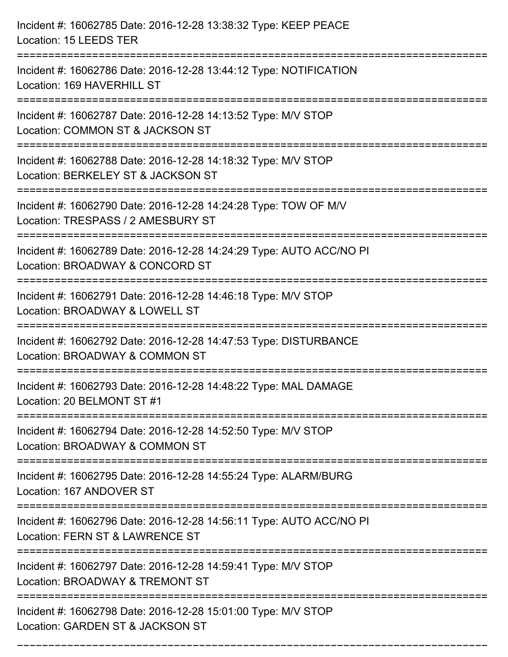| Incident #: 16062785 Date: 2016-12-28 13:38:32 Type: KEEP PEACE<br>Location: 15 LEEDS TER                                              |
|----------------------------------------------------------------------------------------------------------------------------------------|
| Incident #: 16062786 Date: 2016-12-28 13:44:12 Type: NOTIFICATION<br>Location: 169 HAVERHILL ST                                        |
| Incident #: 16062787 Date: 2016-12-28 14:13:52 Type: M/V STOP<br>Location: COMMON ST & JACKSON ST<br>================================= |
| Incident #: 16062788 Date: 2016-12-28 14:18:32 Type: M/V STOP<br>Location: BERKELEY ST & JACKSON ST                                    |
| Incident #: 16062790 Date: 2016-12-28 14:24:28 Type: TOW OF M/V<br>Location: TRESPASS / 2 AMESBURY ST<br>==============                |
| Incident #: 16062789 Date: 2016-12-28 14:24:29 Type: AUTO ACC/NO PI<br>Location: BROADWAY & CONCORD ST                                 |
| Incident #: 16062791 Date: 2016-12-28 14:46:18 Type: M/V STOP<br>Location: BROADWAY & LOWELL ST                                        |
| Incident #: 16062792 Date: 2016-12-28 14:47:53 Type: DISTURBANCE<br>Location: BROADWAY & COMMON ST                                     |
| Incident #: 16062793 Date: 2016-12-28 14:48:22 Type: MAL DAMAGE<br>Location: 20 BELMONT ST #1                                          |
| Incident #: 16062794 Date: 2016-12-28 14:52:50 Type: M/V STOP<br>Location: BROADWAY & COMMON ST                                        |
| Incident #: 16062795 Date: 2016-12-28 14:55:24 Type: ALARM/BURG<br>Location: 167 ANDOVER ST                                            |
| Incident #: 16062796 Date: 2016-12-28 14:56:11 Type: AUTO ACC/NO PI<br>Location: FERN ST & LAWRENCE ST                                 |
| Incident #: 16062797 Date: 2016-12-28 14:59:41 Type: M/V STOP<br>Location: BROADWAY & TREMONT ST                                       |
| Incident #: 16062798 Date: 2016-12-28 15:01:00 Type: M/V STOP<br>Location: GARDEN ST & JACKSON ST                                      |

===========================================================================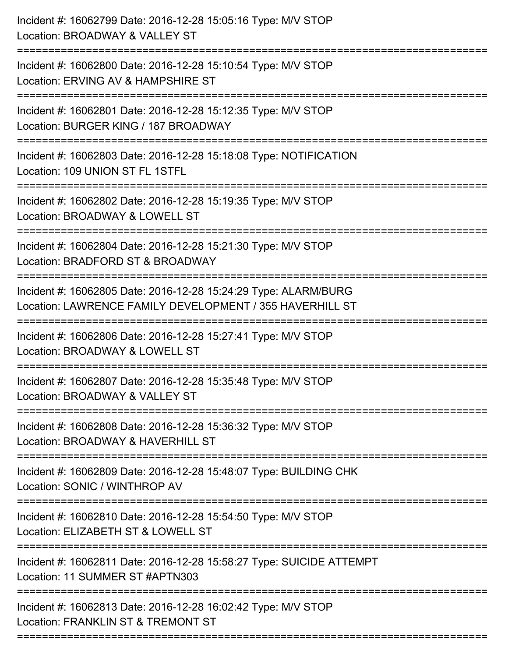| Incident #: 16062799 Date: 2016-12-28 15:05:16 Type: M/V STOP<br>Location: BROADWAY & VALLEY ST                             |
|-----------------------------------------------------------------------------------------------------------------------------|
| Incident #: 16062800 Date: 2016-12-28 15:10:54 Type: M/V STOP<br>Location: ERVING AV & HAMPSHIRE ST                         |
| Incident #: 16062801 Date: 2016-12-28 15:12:35 Type: M/V STOP<br>Location: BURGER KING / 187 BROADWAY                       |
| Incident #: 16062803 Date: 2016-12-28 15:18:08 Type: NOTIFICATION<br>Location: 109 UNION ST FL 1STFL                        |
| Incident #: 16062802 Date: 2016-12-28 15:19:35 Type: M/V STOP<br>Location: BROADWAY & LOWELL ST                             |
| Incident #: 16062804 Date: 2016-12-28 15:21:30 Type: M/V STOP<br>Location: BRADFORD ST & BROADWAY                           |
| Incident #: 16062805 Date: 2016-12-28 15:24:29 Type: ALARM/BURG<br>Location: LAWRENCE FAMILY DEVELOPMENT / 355 HAVERHILL ST |
| Incident #: 16062806 Date: 2016-12-28 15:27:41 Type: M/V STOP<br>Location: BROADWAY & LOWELL ST                             |
| Incident #: 16062807 Date: 2016-12-28 15:35:48 Type: M/V STOP<br>Location: BROADWAY & VALLEY ST                             |
| Incident #: 16062808 Date: 2016-12-28 15:36:32 Type: M/V STOP<br>Location: BROADWAY & HAVERHILL ST                          |
| Incident #: 16062809 Date: 2016-12-28 15:48:07 Type: BUILDING CHK<br>Location: SONIC / WINTHROP AV                          |
| Incident #: 16062810 Date: 2016-12-28 15:54:50 Type: M/V STOP<br>Location: ELIZABETH ST & LOWELL ST                         |
| Incident #: 16062811 Date: 2016-12-28 15:58:27 Type: SUICIDE ATTEMPT<br>Location: 11 SUMMER ST #APTN303                     |
| Incident #: 16062813 Date: 2016-12-28 16:02:42 Type: M/V STOP<br>Location: FRANKLIN ST & TREMONT ST                         |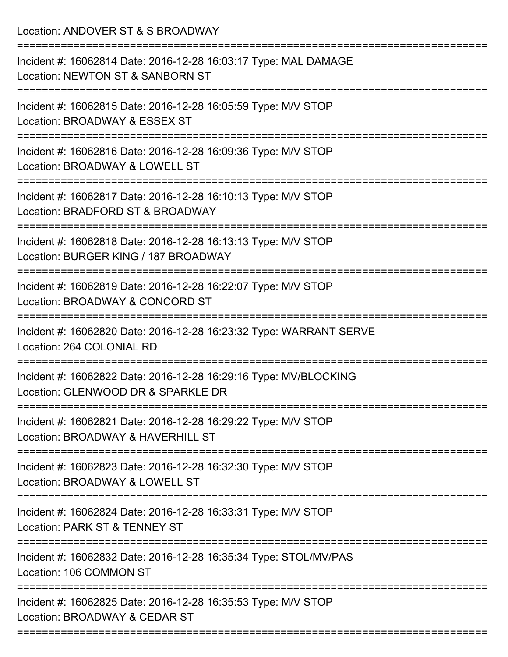Location: ANDOVER ST & S BROADWAY

| Incident #: 16062814 Date: 2016-12-28 16:03:17 Type: MAL DAMAGE<br>Location: NEWTON ST & SANBORN ST                        |
|----------------------------------------------------------------------------------------------------------------------------|
| Incident #: 16062815 Date: 2016-12-28 16:05:59 Type: M/V STOP<br>Location: BROADWAY & ESSEX ST                             |
| Incident #: 16062816 Date: 2016-12-28 16:09:36 Type: M/V STOP<br>Location: BROADWAY & LOWELL ST                            |
| Incident #: 16062817 Date: 2016-12-28 16:10:13 Type: M/V STOP<br>Location: BRADFORD ST & BROADWAY<br>--------------------- |
| Incident #: 16062818 Date: 2016-12-28 16:13:13 Type: M/V STOP<br>Location: BURGER KING / 187 BROADWAY                      |
| Incident #: 16062819 Date: 2016-12-28 16:22:07 Type: M/V STOP<br>Location: BROADWAY & CONCORD ST                           |
| Incident #: 16062820 Date: 2016-12-28 16:23:32 Type: WARRANT SERVE<br>Location: 264 COLONIAL RD                            |
| Incident #: 16062822 Date: 2016-12-28 16:29:16 Type: MV/BLOCKING<br>Location: GLENWOOD DR & SPARKLE DR                     |
| Incident #: 16062821 Date: 2016-12-28 16:29:22 Type: M/V STOP<br>Location: BROADWAY & HAVERHILL ST                         |
| Incident #: 16062823 Date: 2016-12-28 16:32:30 Type: M/V STOP<br>Location: BROADWAY & LOWELL ST                            |
| Incident #: 16062824 Date: 2016-12-28 16:33:31 Type: M/V STOP<br>Location: PARK ST & TENNEY ST                             |
| Incident #: 16062832 Date: 2016-12-28 16:35:34 Type: STOL/MV/PAS<br>Location: 106 COMMON ST                                |
| Incident #: 16062825 Date: 2016-12-28 16:35:53 Type: M/V STOP<br>Location: BROADWAY & CEDAR ST                             |
|                                                                                                                            |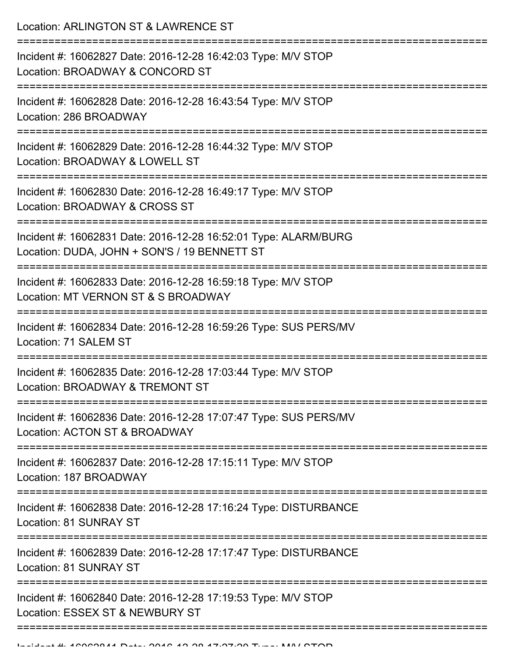Location: ARLINGTON ST & LAWRENCE ST

| Incident #: 16062827 Date: 2016-12-28 16:42:03 Type: M/V STOP<br>Location: BROADWAY & CONCORD ST                |
|-----------------------------------------------------------------------------------------------------------------|
| Incident #: 16062828 Date: 2016-12-28 16:43:54 Type: M/V STOP<br>Location: 286 BROADWAY                         |
| Incident #: 16062829 Date: 2016-12-28 16:44:32 Type: M/V STOP<br>Location: BROADWAY & LOWELL ST                 |
| Incident #: 16062830 Date: 2016-12-28 16:49:17 Type: M/V STOP<br>Location: BROADWAY & CROSS ST<br>===========   |
| Incident #: 16062831 Date: 2016-12-28 16:52:01 Type: ALARM/BURG<br>Location: DUDA, JOHN + SON'S / 19 BENNETT ST |
| Incident #: 16062833 Date: 2016-12-28 16:59:18 Type: M/V STOP<br>Location: MT VERNON ST & S BROADWAY            |
| Incident #: 16062834 Date: 2016-12-28 16:59:26 Type: SUS PERS/MV<br>Location: 71 SALEM ST                       |
| Incident #: 16062835 Date: 2016-12-28 17:03:44 Type: M/V STOP<br>Location: BROADWAY & TREMONT ST                |
| Incident #: 16062836 Date: 2016-12-28 17:07:47 Type: SUS PERS/MV<br>Location: ACTON ST & BROADWAY               |
| Incident #: 16062837 Date: 2016-12-28 17:15:11 Type: M/V STOP<br>Location: 187 BROADWAY                         |
| Incident #: 16062838 Date: 2016-12-28 17:16:24 Type: DISTURBANCE<br>Location: 81 SUNRAY ST                      |
| Incident #: 16062839 Date: 2016-12-28 17:17:47 Type: DISTURBANCE<br>Location: 81 SUNRAY ST                      |
| Incident #: 16062840 Date: 2016-12-28 17:19:53 Type: M/V STOP<br>Location: ESSEX ST & NEWBURY ST                |
|                                                                                                                 |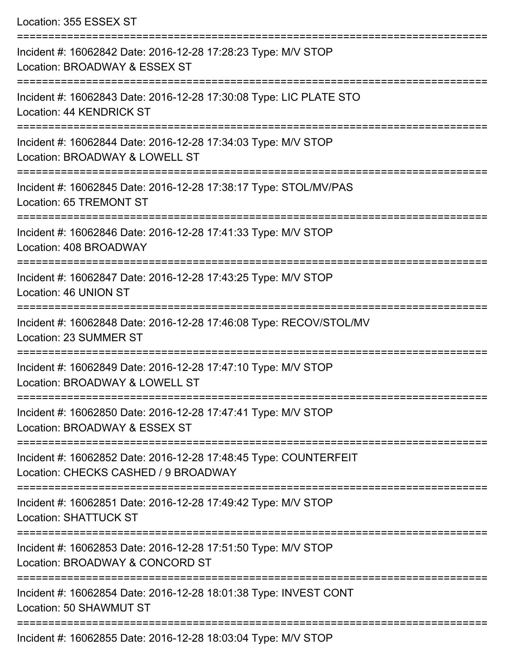Location: 355 ESSEX ST

=========================================================================== Incident #: 16062842 Date: 2016-12-28 17:28:23 Type: M/V STOP Location: BROADWAY & ESSEX ST =========================================================================== Incident #: 16062843 Date: 2016-12-28 17:30:08 Type: LIC PLATE STO Location: 44 KENDRICK ST =========================================================================== Incident #: 16062844 Date: 2016-12-28 17:34:03 Type: M/V STOP Location: BROADWAY & LOWELL ST =========================================================================== Incident #: 16062845 Date: 2016-12-28 17:38:17 Type: STOL/MV/PAS Location: 65 TREMONT ST =========================================================================== Incident #: 16062846 Date: 2016-12-28 17:41:33 Type: M/V STOP Location: 408 BROADWAY =========================================================================== Incident #: 16062847 Date: 2016-12-28 17:43:25 Type: M/V STOP Location: 46 UNION ST =========================================================================== Incident #: 16062848 Date: 2016-12-28 17:46:08 Type: RECOV/STOL/MV Location: 23 SUMMER ST =========================================================================== Incident #: 16062849 Date: 2016-12-28 17:47:10 Type: M/V STOP Location: BROADWAY & LOWELL ST =========================================================================== Incident #: 16062850 Date: 2016-12-28 17:47:41 Type: M/V STOP Location: BROADWAY & ESSEX ST =========================================================================== Incident #: 16062852 Date: 2016-12-28 17:48:45 Type: COUNTERFEIT Location: CHECKS CASHED / 9 BROADWAY =========================================================================== Incident #: 16062851 Date: 2016-12-28 17:49:42 Type: M/V STOP Location: SHATTUCK ST =========================================================================== Incident #: 16062853 Date: 2016-12-28 17:51:50 Type: M/V STOP Location: BROADWAY & CONCORD ST =========================================================================== Incident #: 16062854 Date: 2016-12-28 18:01:38 Type: INVEST CONT Location: 50 SHAWMUT ST =========================================================================== Incident #: 16062855 Date: 2016-12-28 18:03:04 Type: M/V STOP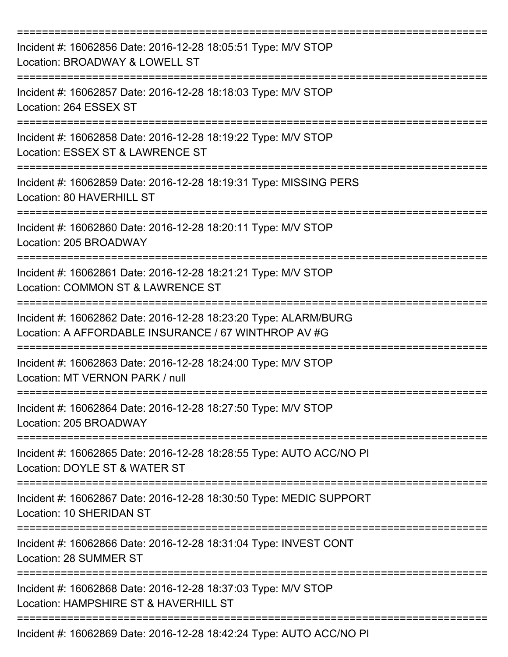| Incident #: 16062856 Date: 2016-12-28 18:05:51 Type: M/V STOP<br>Location: BROADWAY & LOWELL ST                         |
|-------------------------------------------------------------------------------------------------------------------------|
| Incident #: 16062857 Date: 2016-12-28 18:18:03 Type: M/V STOP<br>Location: 264 ESSEX ST                                 |
| Incident #: 16062858 Date: 2016-12-28 18:19:22 Type: M/V STOP<br>Location: ESSEX ST & LAWRENCE ST                       |
| Incident #: 16062859 Date: 2016-12-28 18:19:31 Type: MISSING PERS<br>Location: 80 HAVERHILL ST                          |
| Incident #: 16062860 Date: 2016-12-28 18:20:11 Type: M/V STOP<br>Location: 205 BROADWAY                                 |
| Incident #: 16062861 Date: 2016-12-28 18:21:21 Type: M/V STOP<br>Location: COMMON ST & LAWRENCE ST                      |
| Incident #: 16062862 Date: 2016-12-28 18:23:20 Type: ALARM/BURG<br>Location: A AFFORDABLE INSURANCE / 67 WINTHROP AV #G |
| Incident #: 16062863 Date: 2016-12-28 18:24:00 Type: M/V STOP<br>Location: MT VERNON PARK / null                        |
| Incident #: 16062864 Date: 2016-12-28 18:27:50 Type: M/V STOP<br>Location: 205 BROADWAY                                 |
| Incident #: 16062865 Date: 2016-12-28 18:28:55 Type: AUTO ACC/NO PI<br>Location: DOYLE ST & WATER ST                    |
| Incident #: 16062867 Date: 2016-12-28 18:30:50 Type: MEDIC SUPPORT<br>Location: 10 SHERIDAN ST                          |
| Incident #: 16062866 Date: 2016-12-28 18:31:04 Type: INVEST CONT<br>Location: 28 SUMMER ST                              |
| Incident #: 16062868 Date: 2016-12-28 18:37:03 Type: M/V STOP<br>Location: HAMPSHIRE ST & HAVERHILL ST                  |
| Incident #: 16062869 Date: 2016-12-28 18:42:24 Type: AUTO ACC/NO PI                                                     |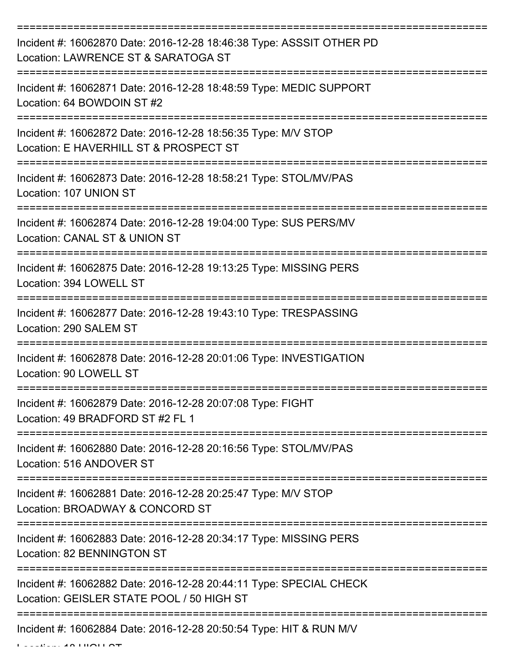| Incident #: 16062870 Date: 2016-12-28 18:46:38 Type: ASSSIT OTHER PD<br>Location: LAWRENCE ST & SARATOGA ST                          |
|--------------------------------------------------------------------------------------------------------------------------------------|
| Incident #: 16062871 Date: 2016-12-28 18:48:59 Type: MEDIC SUPPORT<br>Location: 64 BOWDOIN ST #2                                     |
| Incident #: 16062872 Date: 2016-12-28 18:56:35 Type: M/V STOP<br>Location: E HAVERHILL ST & PROSPECT ST                              |
| Incident #: 16062873 Date: 2016-12-28 18:58:21 Type: STOL/MV/PAS<br>Location: 107 UNION ST                                           |
| Incident #: 16062874 Date: 2016-12-28 19:04:00 Type: SUS PERS/MV<br>Location: CANAL ST & UNION ST                                    |
| ====================================<br>Incident #: 16062875 Date: 2016-12-28 19:13:25 Type: MISSING PERS<br>Location: 394 LOWELL ST |
| Incident #: 16062877 Date: 2016-12-28 19:43:10 Type: TRESPASSING<br>Location: 290 SALEM ST                                           |
| Incident #: 16062878 Date: 2016-12-28 20:01:06 Type: INVESTIGATION<br>Location: 90 LOWELL ST                                         |
| Incident #: 16062879 Date: 2016-12-28 20:07:08 Type: FIGHT<br>Location: 49 BRADFORD ST #2 FL 1                                       |
| Incident #: 16062880 Date: 2016-12-28 20:16:56 Type: STOL/MV/PAS<br>Location: 516 ANDOVER ST                                         |
| Incident #: 16062881 Date: 2016-12-28 20:25:47 Type: M/V STOP<br>Location: BROADWAY & CONCORD ST                                     |
| Incident #: 16062883 Date: 2016-12-28 20:34:17 Type: MISSING PERS<br>Location: 82 BENNINGTON ST                                      |
| Incident #: 16062882 Date: 2016-12-28 20:44:11 Type: SPECIAL CHECK<br>Location: GEISLER STATE POOL / 50 HIGH ST                      |
| Incident #: 16062884 Date: 2016-12-28 20:50:54 Type: HIT & RUN M/V                                                                   |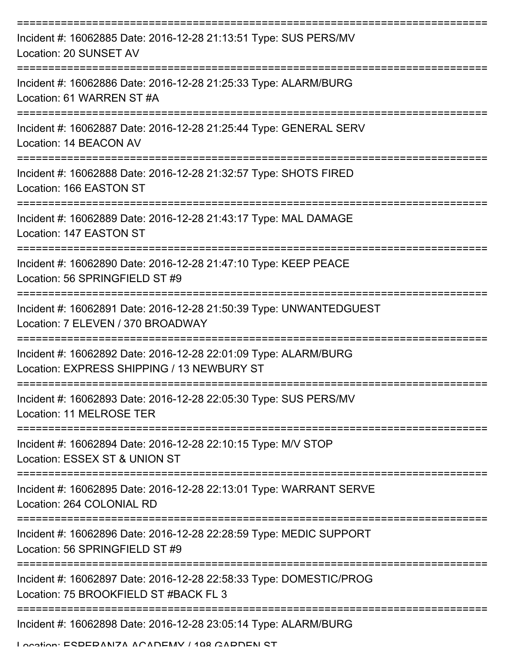| Incident #: 16062885 Date: 2016-12-28 21:13:51 Type: SUS PERS/MV<br>Location: 20 SUNSET AV                                                           |
|------------------------------------------------------------------------------------------------------------------------------------------------------|
| Incident #: 16062886 Date: 2016-12-28 21:25:33 Type: ALARM/BURG<br>Location: 61 WARREN ST #A                                                         |
| Incident #: 16062887 Date: 2016-12-28 21:25:44 Type: GENERAL SERV<br>Location: 14 BEACON AV                                                          |
| Incident #: 16062888 Date: 2016-12-28 21:32:57 Type: SHOTS FIRED<br>Location: 166 EASTON ST                                                          |
| Incident #: 16062889 Date: 2016-12-28 21:43:17 Type: MAL DAMAGE<br>Location: 147 EASTON ST                                                           |
| Incident #: 16062890 Date: 2016-12-28 21:47:10 Type: KEEP PEACE<br>Location: 56 SPRINGFIELD ST #9                                                    |
| Incident #: 16062891 Date: 2016-12-28 21:50:39 Type: UNWANTEDGUEST<br>Location: 7 ELEVEN / 370 BROADWAY                                              |
| Incident #: 16062892 Date: 2016-12-28 22:01:09 Type: ALARM/BURG<br>Location: EXPRESS SHIPPING / 13 NEWBURY ST<br>:================================== |
| Incident #: 16062893 Date: 2016-12-28 22:05:30 Type: SUS PERS/MV<br>Location: 11 MELROSE TER                                                         |
| Incident #: 16062894 Date: 2016-12-28 22:10:15 Type: M/V STOP<br>Location: ESSEX ST & UNION ST                                                       |
| Incident #: 16062895 Date: 2016-12-28 22:13:01 Type: WARRANT SERVE<br>Location: 264 COLONIAL RD                                                      |
| Incident #: 16062896 Date: 2016-12-28 22:28:59 Type: MEDIC SUPPORT<br>Location: 56 SPRINGFIELD ST #9                                                 |
| Incident #: 16062897 Date: 2016-12-28 22:58:33 Type: DOMESTIC/PROG<br>Location: 75 BROOKFIELD ST #BACK FL 3                                          |
| Incident #: 16062898 Date: 2016-12-28 23:05:14 Type: ALARM/BURG<br>I ocation: ECDEDANIZA ACADEMV / 108 CADDEN CT                                     |